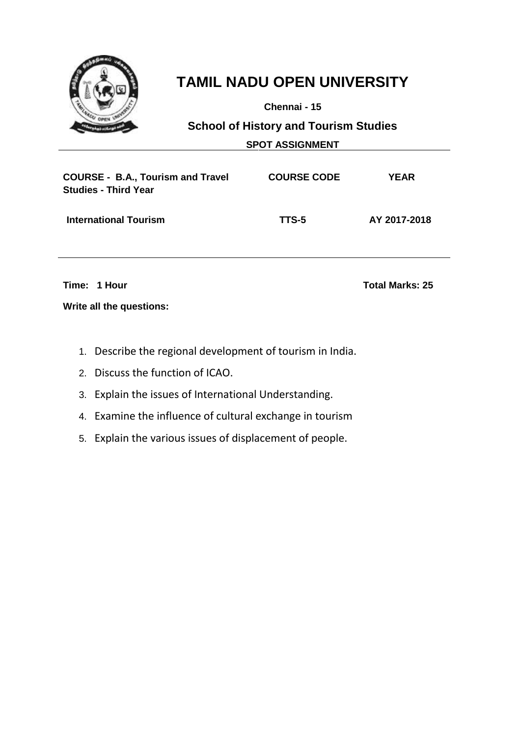

**Chennai - 15**

**School of History and Tourism Studies**

**SPOT ASSIGNMENT**

| <b>COURSE - B.A., Tourism and Travel</b><br><b>Studies - Third Year</b> | <b>COURSE CODE</b> | YEAR         |
|-------------------------------------------------------------------------|--------------------|--------------|
| <b>International Tourism</b>                                            | TTS-5              | AY 2017-2018 |

**Time: 1 Hour Total Marks: 25**

- 1. Describe the regional development of tourism in India.
- 2. Discuss the function of ICAO.
- 3. Explain the issues of International Understanding.
- 4. Examine the influence of cultural exchange in tourism
- 5. Explain the various issues of displacement of people.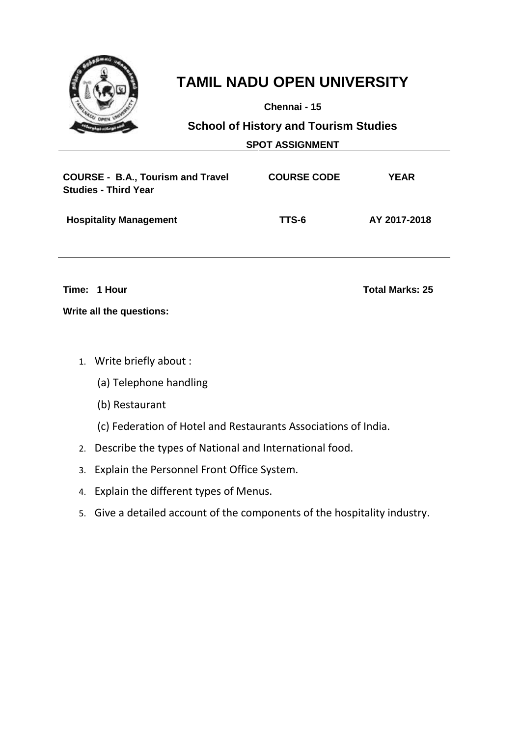

**Chennai - 15**

**School of History and Tourism Studies**

| <b>SPOT ASSIGNMENT</b> |
|------------------------|
|                        |

| <b>COURSE - B.A., Tourism and Travel</b><br><b>Studies - Third Year</b> | <b>COURSE CODE</b> | YEAR         |
|-------------------------------------------------------------------------|--------------------|--------------|
| <b>Hospitality Management</b>                                           | TTS-6              | AY 2017-2018 |

**Time: 1 Hour Total Marks: 25**

- 1. Write briefly about :
	- (a) Telephone handling
	- (b) Restaurant
	- (c) Federation of Hotel and Restaurants Associations of India.
- 2. Describe the types of National and International food.
- 3. Explain the Personnel Front Office System.
- 4. Explain the different types of Menus.
- 5. Give a detailed account of the components of the hospitality industry.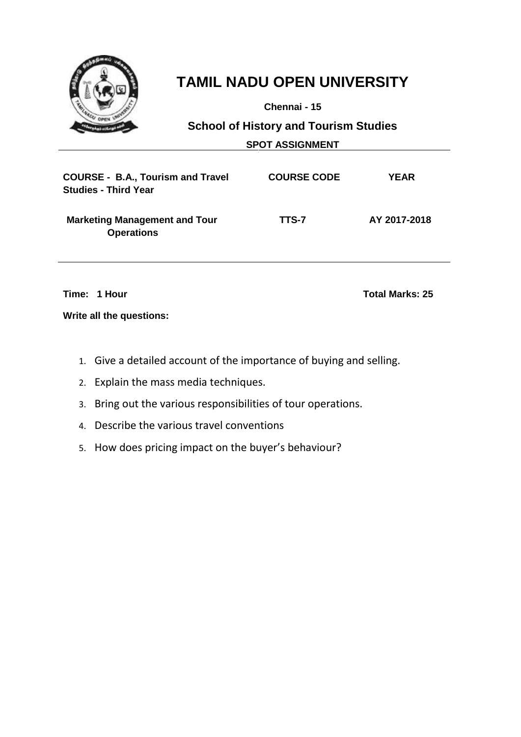

**Chennai - 15**

**School of History and Tourism Studies**

**SPOT ASSIGNMENT**

| <b>COURSE - B.A., Tourism and Travel</b><br><b>Studies - Third Year</b> | <b>COURSE CODE</b> | <b>YEAR</b>  |
|-------------------------------------------------------------------------|--------------------|--------------|
| <b>Marketing Management and Tour</b><br><b>Operations</b>               | TTS-7              | AY 2017-2018 |

**Time: 1 Hour Total Marks: 25**

- 1. Give a detailed account of the importance of buying and selling.
- 2. Explain the mass media techniques.
- 3. Bring out the various responsibilities of tour operations.
- 4. Describe the various travel conventions
- 5. How does pricing impact on the buyer's behaviour?